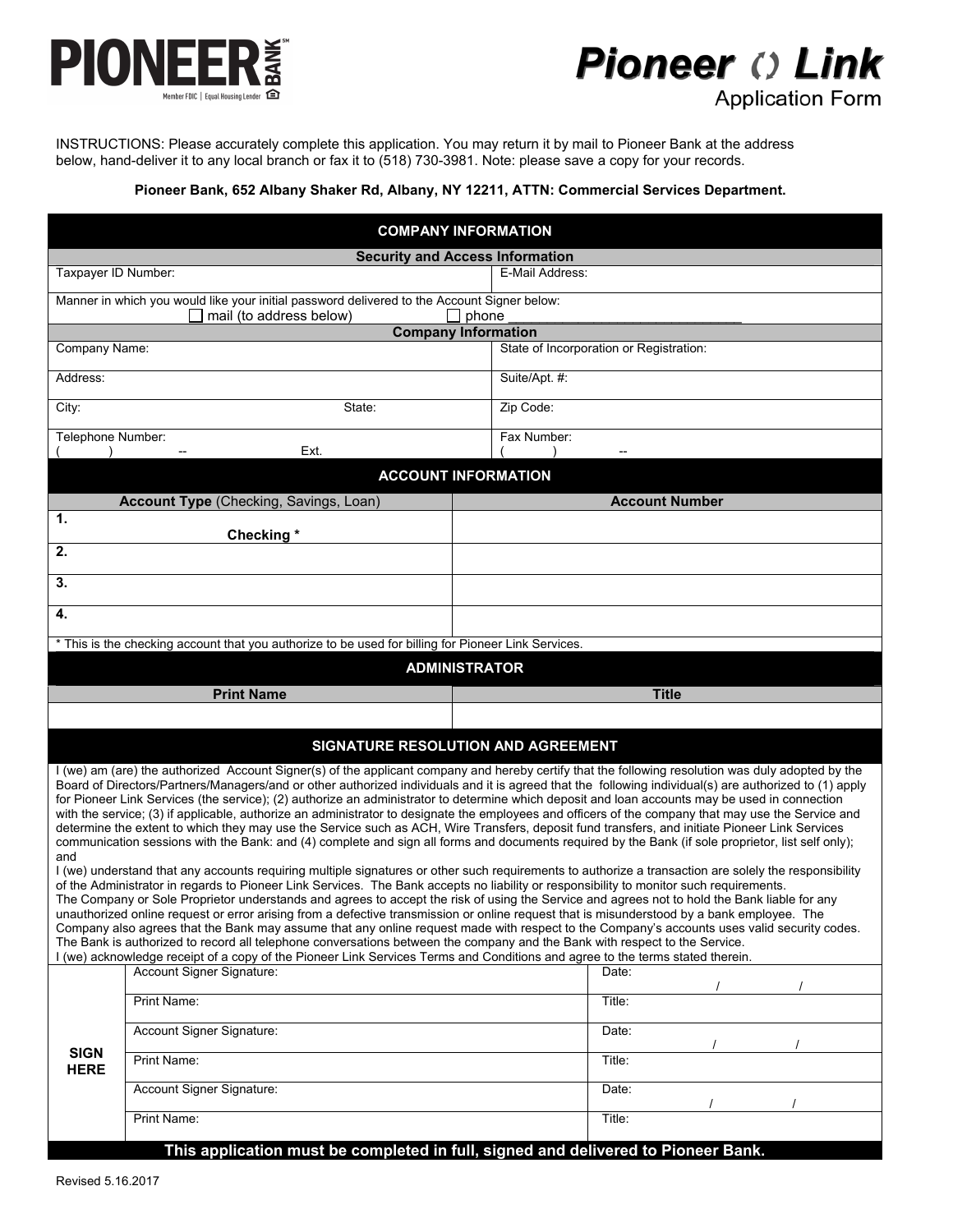

# **Pioneer () Link Application Form**

INSTRUCTIONS: Please accurately complete this application. You may return it by mail to Pioneer Bank at the address below, hand-deliver it to any local branch or fax it to (518) 730-3981. Note: please save a copy for your records.

## **Pioneer Bank, 652 Albany Shaker Rd, Albany, NY 12211, ATTN: Commercial Services Department.**

| <b>COMPANY INFORMATION</b>                                                                                                                                                                                                                                                                                                                                                                                                                                                                                                                                                                                                                                                                                                                                                                                                                                                                                                                                                                                                                                                                                                                                                                                                                                                                                                                                                                                                                                                                                                                                                                                                                                                                                                                                                                                                                                                                                                                           |                                                                                   |                                         |
|------------------------------------------------------------------------------------------------------------------------------------------------------------------------------------------------------------------------------------------------------------------------------------------------------------------------------------------------------------------------------------------------------------------------------------------------------------------------------------------------------------------------------------------------------------------------------------------------------------------------------------------------------------------------------------------------------------------------------------------------------------------------------------------------------------------------------------------------------------------------------------------------------------------------------------------------------------------------------------------------------------------------------------------------------------------------------------------------------------------------------------------------------------------------------------------------------------------------------------------------------------------------------------------------------------------------------------------------------------------------------------------------------------------------------------------------------------------------------------------------------------------------------------------------------------------------------------------------------------------------------------------------------------------------------------------------------------------------------------------------------------------------------------------------------------------------------------------------------------------------------------------------------------------------------------------------------|-----------------------------------------------------------------------------------|-----------------------------------------|
|                                                                                                                                                                                                                                                                                                                                                                                                                                                                                                                                                                                                                                                                                                                                                                                                                                                                                                                                                                                                                                                                                                                                                                                                                                                                                                                                                                                                                                                                                                                                                                                                                                                                                                                                                                                                                                                                                                                                                      | <b>Security and Access Information</b>                                            |                                         |
| Taxpayer ID Number:                                                                                                                                                                                                                                                                                                                                                                                                                                                                                                                                                                                                                                                                                                                                                                                                                                                                                                                                                                                                                                                                                                                                                                                                                                                                                                                                                                                                                                                                                                                                                                                                                                                                                                                                                                                                                                                                                                                                  |                                                                                   | E-Mail Address:                         |
| Manner in which you would like your initial password delivered to the Account Signer below:<br>mail (to address below)<br>$\Box$ phone                                                                                                                                                                                                                                                                                                                                                                                                                                                                                                                                                                                                                                                                                                                                                                                                                                                                                                                                                                                                                                                                                                                                                                                                                                                                                                                                                                                                                                                                                                                                                                                                                                                                                                                                                                                                               |                                                                                   |                                         |
| <b>Company Information</b><br>Company Name:                                                                                                                                                                                                                                                                                                                                                                                                                                                                                                                                                                                                                                                                                                                                                                                                                                                                                                                                                                                                                                                                                                                                                                                                                                                                                                                                                                                                                                                                                                                                                                                                                                                                                                                                                                                                                                                                                                          |                                                                                   | State of Incorporation or Registration: |
|                                                                                                                                                                                                                                                                                                                                                                                                                                                                                                                                                                                                                                                                                                                                                                                                                                                                                                                                                                                                                                                                                                                                                                                                                                                                                                                                                                                                                                                                                                                                                                                                                                                                                                                                                                                                                                                                                                                                                      |                                                                                   |                                         |
| Address:                                                                                                                                                                                                                                                                                                                                                                                                                                                                                                                                                                                                                                                                                                                                                                                                                                                                                                                                                                                                                                                                                                                                                                                                                                                                                                                                                                                                                                                                                                                                                                                                                                                                                                                                                                                                                                                                                                                                             |                                                                                   | Suite/Apt. #:                           |
| City:<br>State:                                                                                                                                                                                                                                                                                                                                                                                                                                                                                                                                                                                                                                                                                                                                                                                                                                                                                                                                                                                                                                                                                                                                                                                                                                                                                                                                                                                                                                                                                                                                                                                                                                                                                                                                                                                                                                                                                                                                      |                                                                                   | Zip Code:                               |
| Telephone Number:                                                                                                                                                                                                                                                                                                                                                                                                                                                                                                                                                                                                                                                                                                                                                                                                                                                                                                                                                                                                                                                                                                                                                                                                                                                                                                                                                                                                                                                                                                                                                                                                                                                                                                                                                                                                                                                                                                                                    | Ext.                                                                              | Fax Number:                             |
| <b>ACCOUNT INFORMATION</b>                                                                                                                                                                                                                                                                                                                                                                                                                                                                                                                                                                                                                                                                                                                                                                                                                                                                                                                                                                                                                                                                                                                                                                                                                                                                                                                                                                                                                                                                                                                                                                                                                                                                                                                                                                                                                                                                                                                           |                                                                                   |                                         |
|                                                                                                                                                                                                                                                                                                                                                                                                                                                                                                                                                                                                                                                                                                                                                                                                                                                                                                                                                                                                                                                                                                                                                                                                                                                                                                                                                                                                                                                                                                                                                                                                                                                                                                                                                                                                                                                                                                                                                      | Account Type (Checking, Savings, Loan)                                            | <b>Account Number</b>                   |
| 1.                                                                                                                                                                                                                                                                                                                                                                                                                                                                                                                                                                                                                                                                                                                                                                                                                                                                                                                                                                                                                                                                                                                                                                                                                                                                                                                                                                                                                                                                                                                                                                                                                                                                                                                                                                                                                                                                                                                                                   | Checking*                                                                         |                                         |
| 2.                                                                                                                                                                                                                                                                                                                                                                                                                                                                                                                                                                                                                                                                                                                                                                                                                                                                                                                                                                                                                                                                                                                                                                                                                                                                                                                                                                                                                                                                                                                                                                                                                                                                                                                                                                                                                                                                                                                                                   |                                                                                   |                                         |
| 3.                                                                                                                                                                                                                                                                                                                                                                                                                                                                                                                                                                                                                                                                                                                                                                                                                                                                                                                                                                                                                                                                                                                                                                                                                                                                                                                                                                                                                                                                                                                                                                                                                                                                                                                                                                                                                                                                                                                                                   |                                                                                   |                                         |
| 4.                                                                                                                                                                                                                                                                                                                                                                                                                                                                                                                                                                                                                                                                                                                                                                                                                                                                                                                                                                                                                                                                                                                                                                                                                                                                                                                                                                                                                                                                                                                                                                                                                                                                                                                                                                                                                                                                                                                                                   |                                                                                   |                                         |
| * This is the checking account that you authorize to be used for billing for Pioneer Link Services.                                                                                                                                                                                                                                                                                                                                                                                                                                                                                                                                                                                                                                                                                                                                                                                                                                                                                                                                                                                                                                                                                                                                                                                                                                                                                                                                                                                                                                                                                                                                                                                                                                                                                                                                                                                                                                                  |                                                                                   |                                         |
| <b>ADMINISTRATOR</b>                                                                                                                                                                                                                                                                                                                                                                                                                                                                                                                                                                                                                                                                                                                                                                                                                                                                                                                                                                                                                                                                                                                                                                                                                                                                                                                                                                                                                                                                                                                                                                                                                                                                                                                                                                                                                                                                                                                                 |                                                                                   |                                         |
| <b>Title</b><br><b>Print Name</b>                                                                                                                                                                                                                                                                                                                                                                                                                                                                                                                                                                                                                                                                                                                                                                                                                                                                                                                                                                                                                                                                                                                                                                                                                                                                                                                                                                                                                                                                                                                                                                                                                                                                                                                                                                                                                                                                                                                    |                                                                                   |                                         |
|                                                                                                                                                                                                                                                                                                                                                                                                                                                                                                                                                                                                                                                                                                                                                                                                                                                                                                                                                                                                                                                                                                                                                                                                                                                                                                                                                                                                                                                                                                                                                                                                                                                                                                                                                                                                                                                                                                                                                      |                                                                                   |                                         |
| SIGNATURE RESOLUTION AND AGREEMENT                                                                                                                                                                                                                                                                                                                                                                                                                                                                                                                                                                                                                                                                                                                                                                                                                                                                                                                                                                                                                                                                                                                                                                                                                                                                                                                                                                                                                                                                                                                                                                                                                                                                                                                                                                                                                                                                                                                   |                                                                                   |                                         |
| I (we) am (are) the authorized Account Signer(s) of the applicant company and hereby certify that the following resolution was duly adopted by the<br>Board of Directors/Partners/Managers/and or other authorized individuals and it is agreed that the following individual(s) are authorized to (1) apply<br>for Pioneer Link Services (the service); (2) authorize an administrator to determine which deposit and loan accounts may be used in connection<br>with the service; (3) if applicable, authorize an administrator to designate the employees and officers of the company that may use the Service and<br>determine the extent to which they may use the Service such as ACH, Wire Transfers, deposit fund transfers, and initiate Pioneer Link Services<br>communication sessions with the Bank: and (4) complete and sign all forms and documents required by the Bank (if sole proprietor, list self only);<br>and<br>I (we) understand that any accounts requiring multiple signatures or other such requirements to authorize a transaction are solely the responsibility<br>of the Administrator in regards to Pioneer Link Services. The Bank accepts no liability or responsibility to monitor such requirements.<br>The Company or Sole Proprietor understands and agrees to accept the risk of using the Service and agrees not to hold the Bank liable for any<br>unauthorized online request or error arising from a defective transmission or online request that is misunderstood by a bank employee. The<br>Company also agrees that the Bank may assume that any online request made with respect to the Company's accounts uses valid security codes.<br>The Bank is authorized to record all telephone conversations between the company and the Bank with respect to the Service.<br>I (we) acknowledge receipt of a copy of the Pioneer Link Services Terms and Conditions and agree to the terms stated therein. |                                                                                   |                                         |
|                                                                                                                                                                                                                                                                                                                                                                                                                                                                                                                                                                                                                                                                                                                                                                                                                                                                                                                                                                                                                                                                                                                                                                                                                                                                                                                                                                                                                                                                                                                                                                                                                                                                                                                                                                                                                                                                                                                                                      | Account Signer Signature:                                                         | Date:                                   |
| <b>SIGN</b><br><b>HERE</b>                                                                                                                                                                                                                                                                                                                                                                                                                                                                                                                                                                                                                                                                                                                                                                                                                                                                                                                                                                                                                                                                                                                                                                                                                                                                                                                                                                                                                                                                                                                                                                                                                                                                                                                                                                                                                                                                                                                           | Print Name:                                                                       | Title:                                  |
|                                                                                                                                                                                                                                                                                                                                                                                                                                                                                                                                                                                                                                                                                                                                                                                                                                                                                                                                                                                                                                                                                                                                                                                                                                                                                                                                                                                                                                                                                                                                                                                                                                                                                                                                                                                                                                                                                                                                                      | Account Signer Signature:                                                         | Date:                                   |
|                                                                                                                                                                                                                                                                                                                                                                                                                                                                                                                                                                                                                                                                                                                                                                                                                                                                                                                                                                                                                                                                                                                                                                                                                                                                                                                                                                                                                                                                                                                                                                                                                                                                                                                                                                                                                                                                                                                                                      | Print Name:                                                                       | Title:                                  |
|                                                                                                                                                                                                                                                                                                                                                                                                                                                                                                                                                                                                                                                                                                                                                                                                                                                                                                                                                                                                                                                                                                                                                                                                                                                                                                                                                                                                                                                                                                                                                                                                                                                                                                                                                                                                                                                                                                                                                      | Account Signer Signature:                                                         | Date:                                   |
|                                                                                                                                                                                                                                                                                                                                                                                                                                                                                                                                                                                                                                                                                                                                                                                                                                                                                                                                                                                                                                                                                                                                                                                                                                                                                                                                                                                                                                                                                                                                                                                                                                                                                                                                                                                                                                                                                                                                                      | Print Name:                                                                       | Title:                                  |
|                                                                                                                                                                                                                                                                                                                                                                                                                                                                                                                                                                                                                                                                                                                                                                                                                                                                                                                                                                                                                                                                                                                                                                                                                                                                                                                                                                                                                                                                                                                                                                                                                                                                                                                                                                                                                                                                                                                                                      | This application must be completed in full, signed and delivered to Pioneer Bank. |                                         |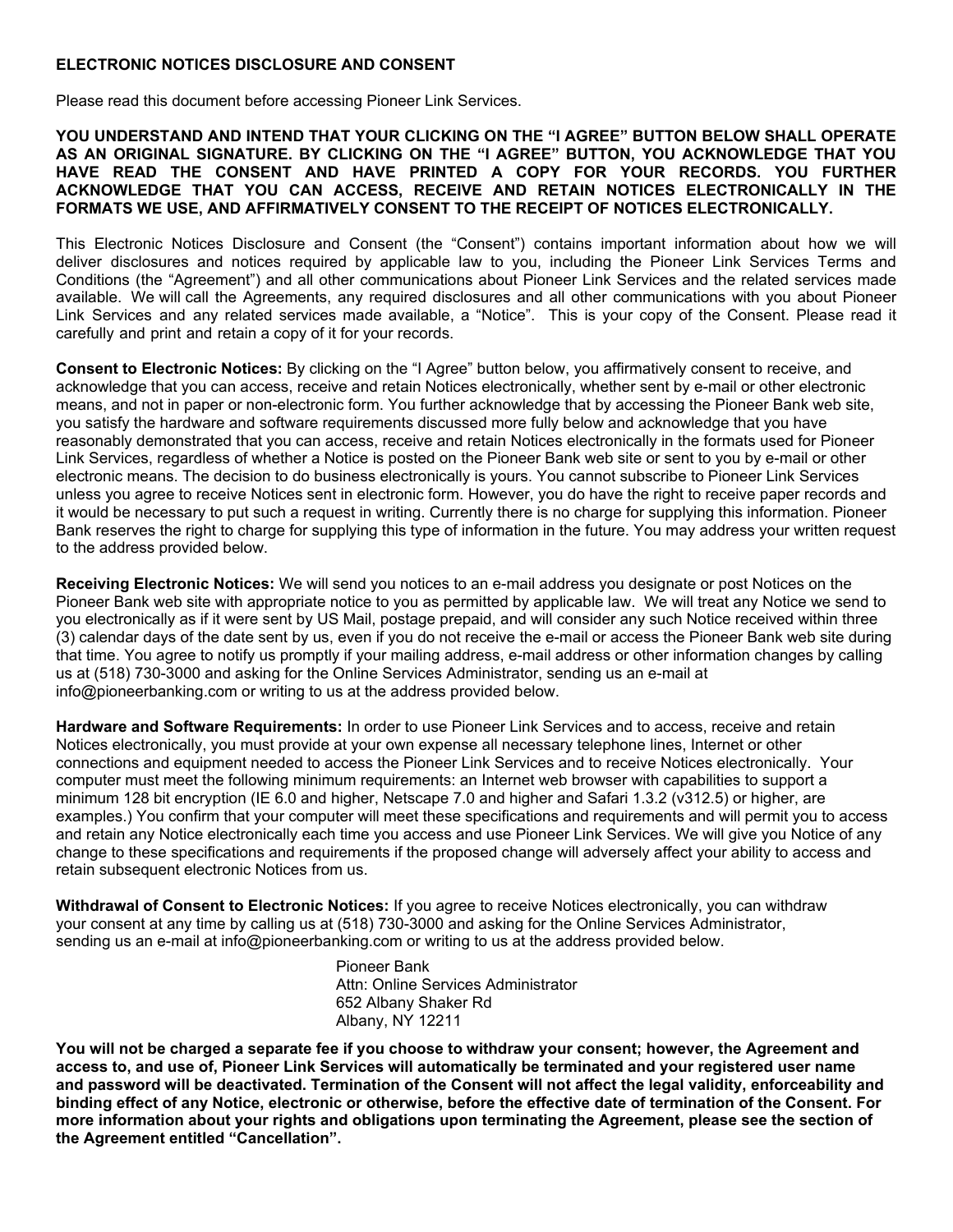## **ELECTRONIC NOTICES DISCLOSURE AND CONSENT**

Please read this document before accessing Pioneer Link Services.

**YOU UNDERSTAND AND INTEND THAT YOUR CLICKING ON THE "I AGREE" BUTTON BELOW SHALL OPERATE AS AN ORIGINAL SIGNATURE. BY CLICKING ON THE "I AGREE" BUTTON, YOU ACKNOWLEDGE THAT YOU HAVE READ THE CONSENT AND HAVE PRINTED A COPY FOR YOUR RECORDS. YOU FURTHER ACKNOWLEDGE THAT YOU CAN ACCESS, RECEIVE AND RETAIN NOTICES ELECTRONICALLY IN THE FORMATS WE USE, AND AFFIRMATIVELY CONSENT TO THE RECEIPT OF NOTICES ELECTRONICALLY.** 

This Electronic Notices Disclosure and Consent (the "Consent") contains important information about how we will deliver disclosures and notices required by applicable law to you, including the Pioneer Link Services Terms and Conditions (the "Agreement") and all other communications about Pioneer Link Services and the related services made available. We will call the Agreements, any required disclosures and all other communications with you about Pioneer Link Services and any related services made available, a "Notice". This is your copy of the Consent. Please read it carefully and print and retain a copy of it for your records.

**Consent to Electronic Notices:** By clicking on the "I Agree" button below, you affirmatively consent to receive, and acknowledge that you can access, receive and retain Notices electronically, whether sent by e-mail or other electronic means, and not in paper or non-electronic form. You further acknowledge that by accessing the Pioneer Bank web site, you satisfy the hardware and software requirements discussed more fully below and acknowledge that you have reasonably demonstrated that you can access, receive and retain Notices electronically in the formats used for Pioneer Link Services, regardless of whether a Notice is posted on the Pioneer Bank web site or sent to you by e-mail or other electronic means. The decision to do business electronically is yours. You cannot subscribe to Pioneer Link Services unless you agree to receive Notices sent in electronic form. However, you do have the right to receive paper records and it would be necessary to put such a request in writing. Currently there is no charge for supplying this information. Pioneer Bank reserves the right to charge for supplying this type of information in the future. You may address your written request to the address provided below.

**Receiving Electronic Notices:** We will send you notices to an e-mail address you designate or post Notices on the Pioneer Bank web site with appropriate notice to you as permitted by applicable law. We will treat any Notice we send to you electronically as if it were sent by US Mail, postage prepaid, and will consider any such Notice received within three (3) calendar days of the date sent by us, even if you do not receive the e-mail or access the Pioneer Bank web site during that time. You agree to notify us promptly if your mailing address, e-mail address or other information changes by calling us at (518) 730-3000 and asking for the Online Services Administrator, sending us an e-mail at info@pioneerbanking.com or writing to us at the address provided below.

**Hardware and Software Requirements:** In order to use Pioneer Link Services and to access, receive and retain Notices electronically, you must provide at your own expense all necessary telephone lines, Internet or other connections and equipment needed to access the Pioneer Link Services and to receive Notices electronically. Your computer must meet the following minimum requirements: an Internet web browser with capabilities to support a minimum 128 bit encryption (IE 6.0 and higher, Netscape 7.0 and higher and Safari 1.3.2 (v312.5) or higher, are examples.) You confirm that your computer will meet these specifications and requirements and will permit you to access and retain any Notice electronically each time you access and use Pioneer Link Services. We will give you Notice of any change to these specifications and requirements if the proposed change will adversely affect your ability to access and retain subsequent electronic Notices from us.

**Withdrawal of Consent to Electronic Notices:** If you agree to receive Notices electronically, you can withdraw your consent at any time by calling us at (518) 730-3000 and asking for the Online Services Administrator, sending us an e-mail at info@pioneerbanking.com or writing to us at the address provided below.

> Pioneer Bank Attn: Online Services Administrator 652 Albany Shaker Rd Albany, NY 12211

**You will not be charged a separate fee if you choose to withdraw your consent; however, the Agreement and access to, and use of, Pioneer Link Services will automatically be terminated and your registered user name and password will be deactivated. Termination of the Consent will not affect the legal validity, enforceability and binding effect of any Notice, electronic or otherwise, before the effective date of termination of the Consent. For more information about your rights and obligations upon terminating the Agreement, please see the section of the Agreement entitled "Cancellation".**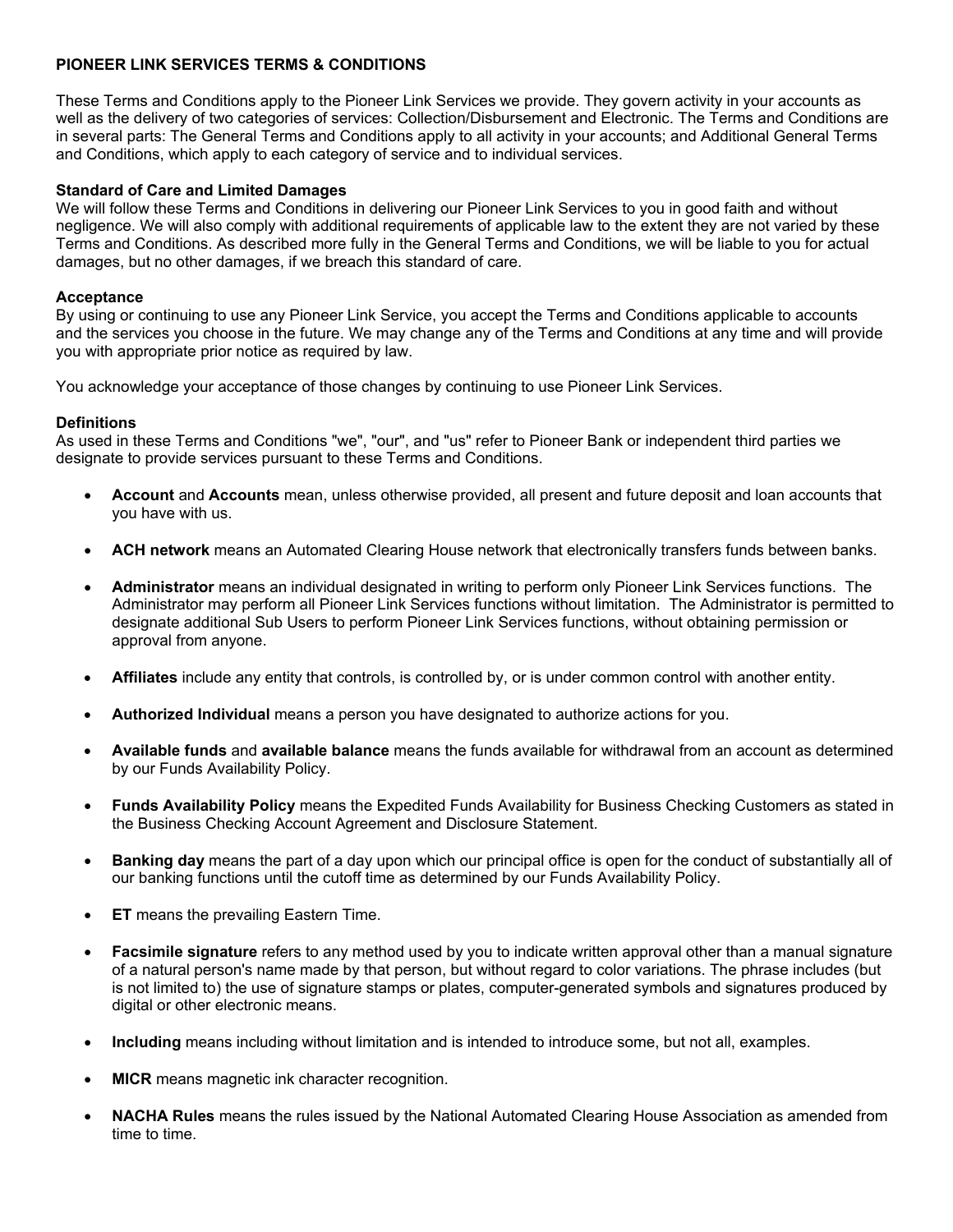# **PIONEER LINK SERVICES TERMS & CONDITIONS**

These Terms and Conditions apply to the Pioneer Link Services we provide. They govern activity in your accounts as well as the delivery of two categories of services: Collection/Disbursement and Electronic. The Terms and Conditions are in several parts: The General Terms and Conditions apply to all activity in your accounts; and Additional General Terms and Conditions, which apply to each category of service and to individual services.

# **Standard of Care and Limited Damages**

We will follow these Terms and Conditions in delivering our Pioneer Link Services to you in good faith and without negligence. We will also comply with additional requirements of applicable law to the extent they are not varied by these Terms and Conditions. As described more fully in the General Terms and Conditions, we will be liable to you for actual damages, but no other damages, if we breach this standard of care.

## **Acceptance**

By using or continuing to use any Pioneer Link Service, you accept the Terms and Conditions applicable to accounts and the services you choose in the future. We may change any of the Terms and Conditions at any time and will provide you with appropriate prior notice as required by law.

You acknowledge your acceptance of those changes by continuing to use Pioneer Link Services.

# **Definitions**

As used in these Terms and Conditions "we", "our", and "us" refer to Pioneer Bank or independent third parties we designate to provide services pursuant to these Terms and Conditions.

- **Account** and **Accounts** mean, unless otherwise provided, all present and future deposit and loan accounts that you have with us.
- **ACH network** means an Automated Clearing House network that electronically transfers funds between banks.
- **Administrator** means an individual designated in writing to perform only Pioneer Link Services functions. The Administrator may perform all Pioneer Link Services functions without limitation. The Administrator is permitted to designate additional Sub Users to perform Pioneer Link Services functions, without obtaining permission or approval from anyone.
- **Affiliates** include any entity that controls, is controlled by, or is under common control with another entity.
- **Authorized Individual** means a person you have designated to authorize actions for you.
- **Available funds** and **available balance** means the funds available for withdrawal from an account as determined by our Funds Availability Policy.
- **Funds Availability Policy** means the Expedited Funds Availability for Business Checking Customers as stated in the Business Checking Account Agreement and Disclosure Statement.
- **Banking day** means the part of a day upon which our principal office is open for the conduct of substantially all of our banking functions until the cutoff time as determined by our Funds Availability Policy.
- **ET** means the prevailing Eastern Time.
- **Facsimile signature** refers to any method used by you to indicate written approval other than a manual signature of a natural person's name made by that person, but without regard to color variations. The phrase includes (but is not limited to) the use of signature stamps or plates, computer-generated symbols and signatures produced by digital or other electronic means.
- **Including** means including without limitation and is intended to introduce some, but not all, examples.
- **MICR** means magnetic ink character recognition.
- **NACHA Rules** means the rules issued by the National Automated Clearing House Association as amended from time to time.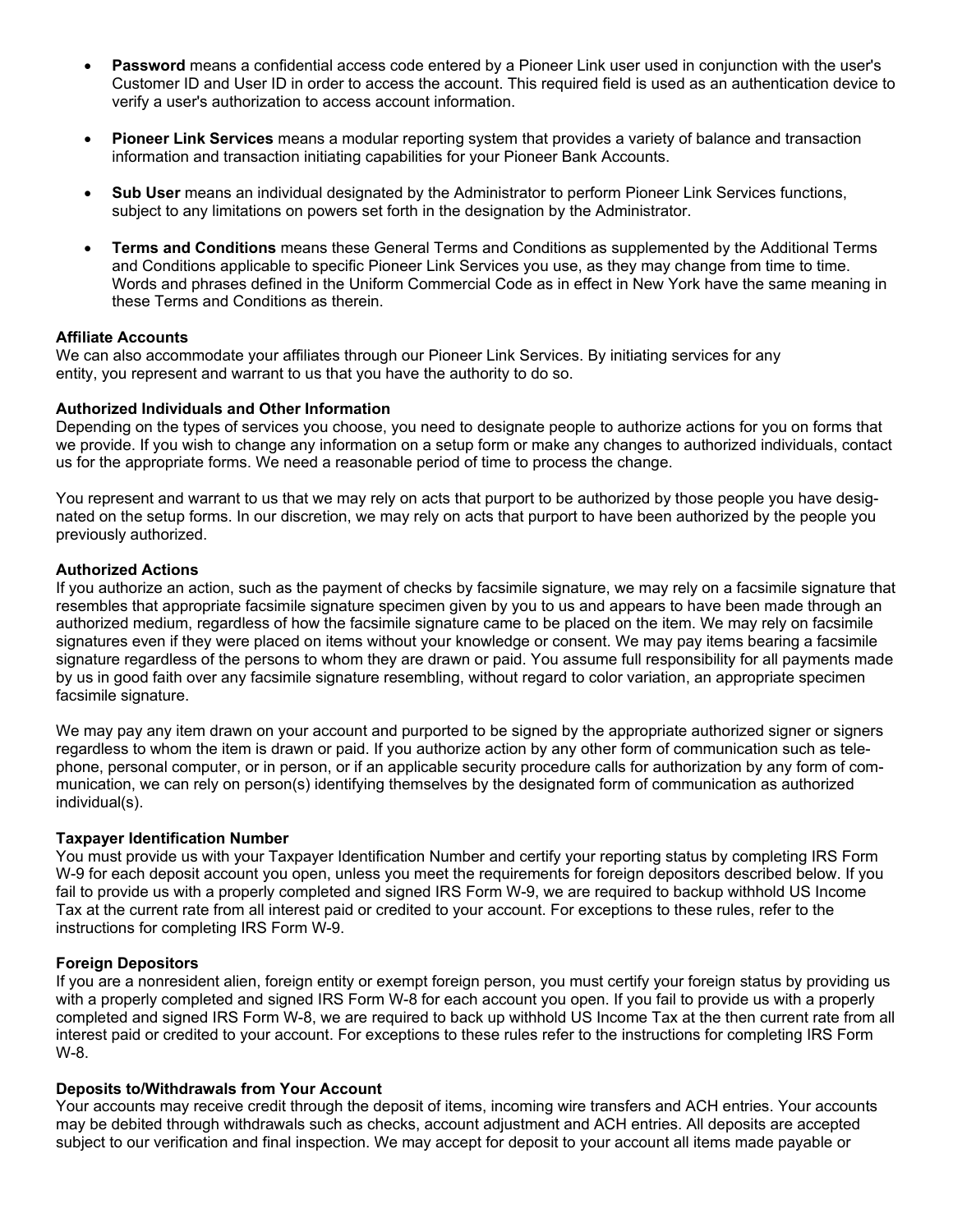- **Password** means a confidential access code entered by a Pioneer Link user used in conjunction with the user's Customer ID and User ID in order to access the account. This required field is used as an authentication device to verify a user's authorization to access account information.
- **Pioneer Link Services** means a modular reporting system that provides a variety of balance and transaction information and transaction initiating capabilities for your Pioneer Bank Accounts.
- **Sub User** means an individual designated by the Administrator to perform Pioneer Link Services functions, subject to any limitations on powers set forth in the designation by the Administrator.
- **Terms and Conditions** means these General Terms and Conditions as supplemented by the Additional Terms and Conditions applicable to specific Pioneer Link Services you use, as they may change from time to time. Words and phrases defined in the Uniform Commercial Code as in effect in New York have the same meaning in these Terms and Conditions as therein.

## **Affiliate Accounts**

We can also accommodate your affiliates through our Pioneer Link Services. By initiating services for any entity, you represent and warrant to us that you have the authority to do so.

#### **Authorized Individuals and Other Information**

Depending on the types of services you choose, you need to designate people to authorize actions for you on forms that we provide. If you wish to change any information on a setup form or make any changes to authorized individuals, contact us for the appropriate forms. We need a reasonable period of time to process the change.

You represent and warrant to us that we may rely on acts that purport to be authorized by those people you have designated on the setup forms. In our discretion, we may rely on acts that purport to have been authorized by the people you previously authorized.

#### **Authorized Actions**

If you authorize an action, such as the payment of checks by facsimile signature, we may rely on a facsimile signature that resembles that appropriate facsimile signature specimen given by you to us and appears to have been made through an authorized medium, regardless of how the facsimile signature came to be placed on the item. We may rely on facsimile signatures even if they were placed on items without your knowledge or consent. We may pay items bearing a facsimile signature regardless of the persons to whom they are drawn or paid. You assume full responsibility for all payments made by us in good faith over any facsimile signature resembling, without regard to color variation, an appropriate specimen facsimile signature.

We may pay any item drawn on your account and purported to be signed by the appropriate authorized signer or signers regardless to whom the item is drawn or paid. If you authorize action by any other form of communication such as telephone, personal computer, or in person, or if an applicable security procedure calls for authorization by any form of communication, we can rely on person(s) identifying themselves by the designated form of communication as authorized individual(s).

## **Taxpayer Identification Number**

You must provide us with your Taxpayer Identification Number and certify your reporting status by completing IRS Form W-9 for each deposit account you open, unless you meet the requirements for foreign depositors described below. If you fail to provide us with a properly completed and signed IRS Form W-9, we are required to backup withhold US Income Tax at the current rate from all interest paid or credited to your account. For exceptions to these rules, refer to the instructions for completing IRS Form W-9.

## **Foreign Depositors**

If you are a nonresident alien, foreign entity or exempt foreign person, you must certify your foreign status by providing us with a properly completed and signed IRS Form W-8 for each account you open. If you fail to provide us with a properly completed and signed IRS Form W-8, we are required to back up withhold US Income Tax at the then current rate from all interest paid or credited to your account. For exceptions to these rules refer to the instructions for completing IRS Form W-8.

## **Deposits to/Withdrawals from Your Account**

Your accounts may receive credit through the deposit of items, incoming wire transfers and ACH entries. Your accounts may be debited through withdrawals such as checks, account adjustment and ACH entries. All deposits are accepted subject to our verification and final inspection. We may accept for deposit to your account all items made payable or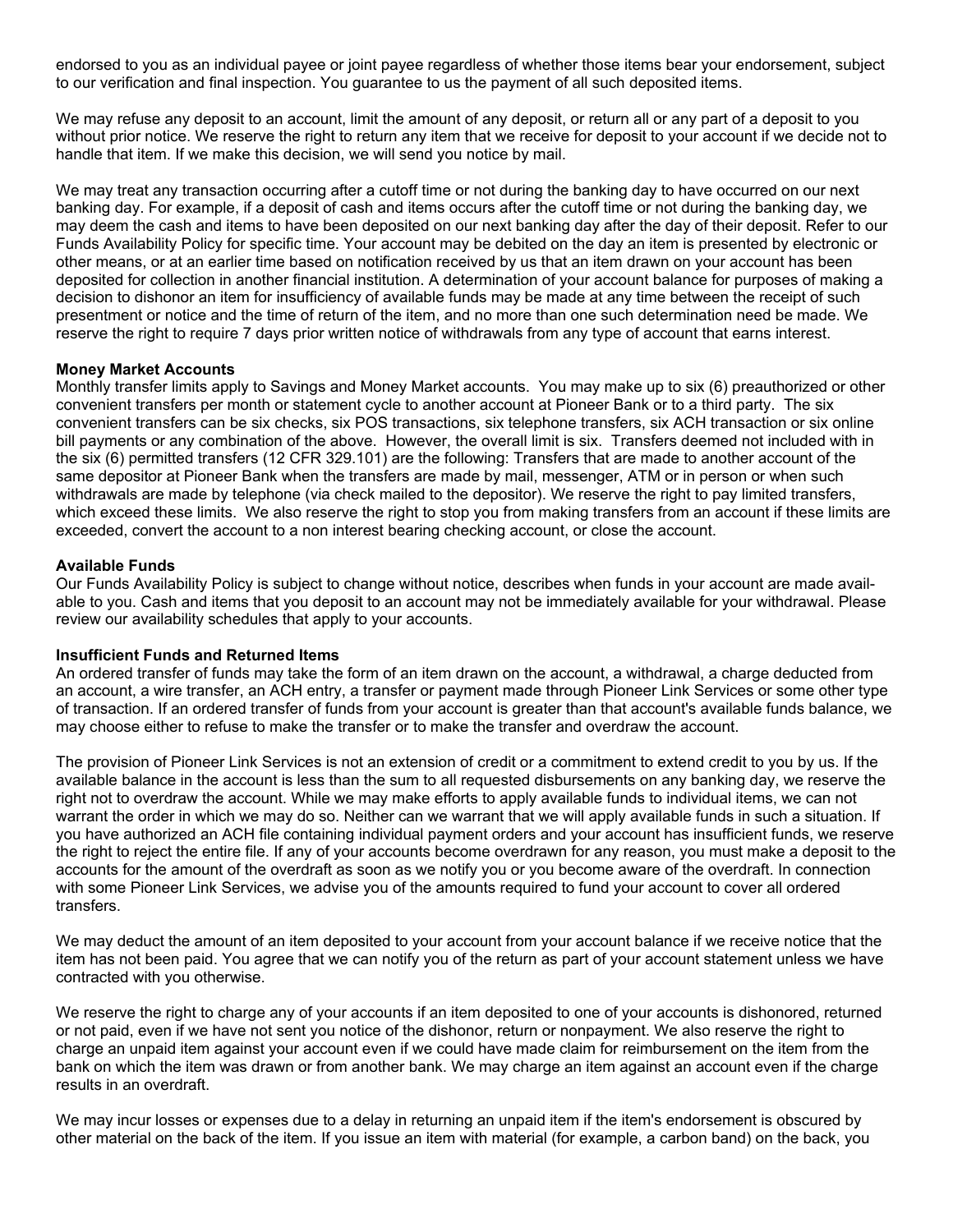endorsed to you as an individual payee or joint payee regardless of whether those items bear your endorsement, subject to our verification and final inspection. You guarantee to us the payment of all such deposited items.

We may refuse any deposit to an account, limit the amount of any deposit, or return all or any part of a deposit to you without prior notice. We reserve the right to return any item that we receive for deposit to your account if we decide not to handle that item. If we make this decision, we will send you notice by mail.

We may treat any transaction occurring after a cutoff time or not during the banking day to have occurred on our next banking day. For example, if a deposit of cash and items occurs after the cutoff time or not during the banking day, we may deem the cash and items to have been deposited on our next banking day after the day of their deposit. Refer to our Funds Availability Policy for specific time. Your account may be debited on the day an item is presented by electronic or other means, or at an earlier time based on notification received by us that an item drawn on your account has been deposited for collection in another financial institution. A determination of your account balance for purposes of making a decision to dishonor an item for insufficiency of available funds may be made at any time between the receipt of such presentment or notice and the time of return of the item, and no more than one such determination need be made. We reserve the right to require 7 days prior written notice of withdrawals from any type of account that earns interest.

## **Money Market Accounts**

Monthly transfer limits apply to Savings and Money Market accounts. You may make up to six (6) preauthorized or other convenient transfers per month or statement cycle to another account at Pioneer Bank or to a third party. The six convenient transfers can be six checks, six POS transactions, six telephone transfers, six ACH transaction or six online bill payments or any combination of the above. However, the overall limit is six. Transfers deemed not included with in the six (6) permitted transfers (12 CFR 329.101) are the following: Transfers that are made to another account of the same depositor at Pioneer Bank when the transfers are made by mail, messenger, ATM or in person or when such withdrawals are made by telephone (via check mailed to the depositor). We reserve the right to pay limited transfers, which exceed these limits. We also reserve the right to stop you from making transfers from an account if these limits are exceeded, convert the account to a non interest bearing checking account, or close the account.

## **Available Funds**

Our Funds Availability Policy is subject to change without notice, describes when funds in your account are made available to you. Cash and items that you deposit to an account may not be immediately available for your withdrawal. Please review our availability schedules that apply to your accounts.

## **Insufficient Funds and Returned Items**

An ordered transfer of funds may take the form of an item drawn on the account, a withdrawal, a charge deducted from an account, a wire transfer, an ACH entry, a transfer or payment made through Pioneer Link Services or some other type of transaction. If an ordered transfer of funds from your account is greater than that account's available funds balance, we may choose either to refuse to make the transfer or to make the transfer and overdraw the account.

The provision of Pioneer Link Services is not an extension of credit or a commitment to extend credit to you by us. If the available balance in the account is less than the sum to all requested disbursements on any banking day, we reserve the right not to overdraw the account. While we may make efforts to apply available funds to individual items, we can not warrant the order in which we may do so. Neither can we warrant that we will apply available funds in such a situation. If you have authorized an ACH file containing individual payment orders and your account has insufficient funds, we reserve the right to reject the entire file. If any of your accounts become overdrawn for any reason, you must make a deposit to the accounts for the amount of the overdraft as soon as we notify you or you become aware of the overdraft. In connection with some Pioneer Link Services, we advise you of the amounts required to fund your account to cover all ordered transfers.

We may deduct the amount of an item deposited to your account from your account balance if we receive notice that the item has not been paid. You agree that we can notify you of the return as part of your account statement unless we have contracted with you otherwise.

We reserve the right to charge any of your accounts if an item deposited to one of your accounts is dishonored, returned or not paid, even if we have not sent you notice of the dishonor, return or nonpayment. We also reserve the right to charge an unpaid item against your account even if we could have made claim for reimbursement on the item from the bank on which the item was drawn or from another bank. We may charge an item against an account even if the charge results in an overdraft.

We may incur losses or expenses due to a delay in returning an unpaid item if the item's endorsement is obscured by other material on the back of the item. If you issue an item with material (for example, a carbon band) on the back, you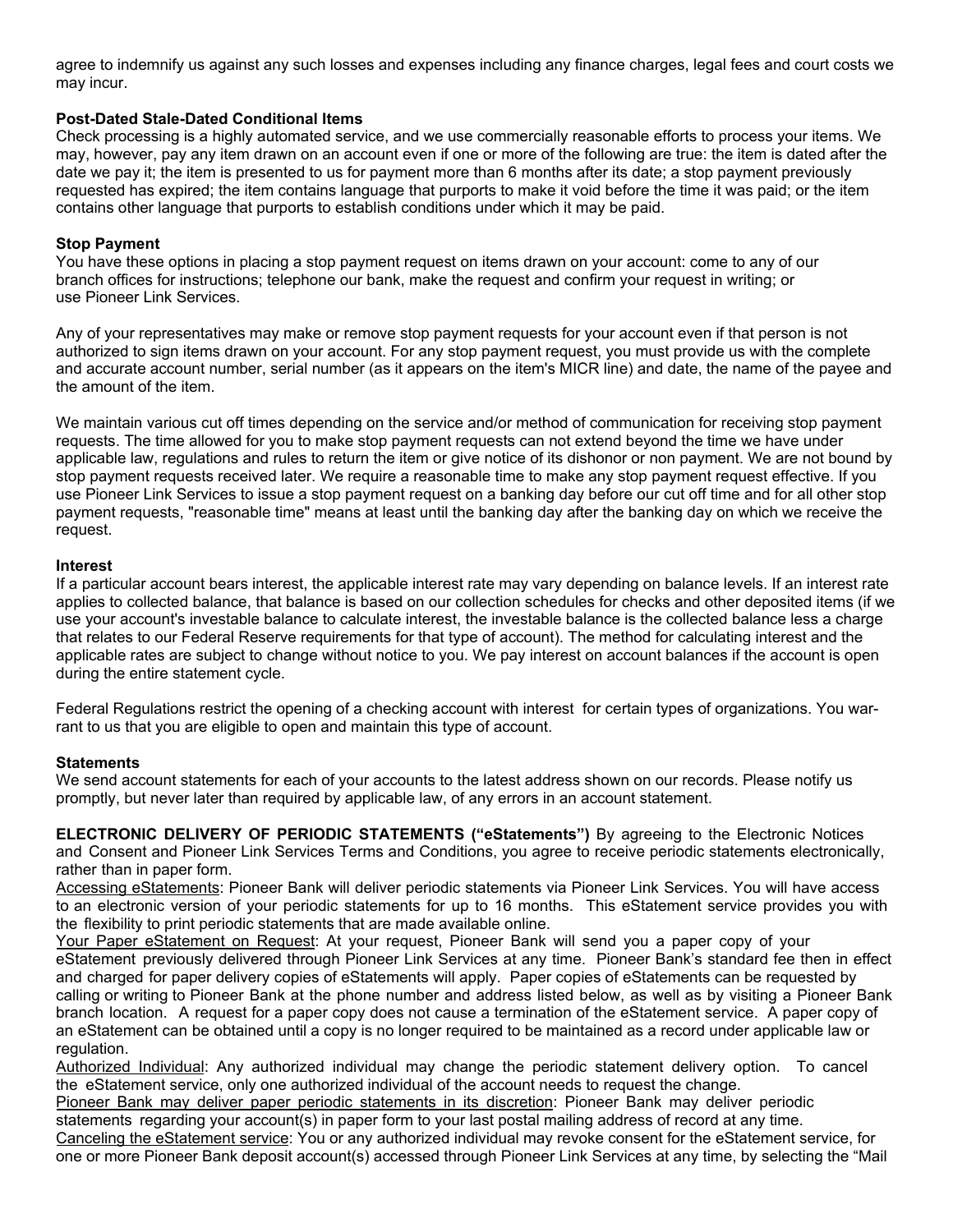agree to indemnify us against any such losses and expenses including any finance charges, legal fees and court costs we may incur.

# **Post-Dated Stale-Dated Conditional Items**

Check processing is a highly automated service, and we use commercially reasonable efforts to process your items. We may, however, pay any item drawn on an account even if one or more of the following are true: the item is dated after the date we pay it; the item is presented to us for payment more than 6 months after its date; a stop payment previously requested has expired; the item contains language that purports to make it void before the time it was paid; or the item contains other language that purports to establish conditions under which it may be paid.

# **Stop Payment**

You have these options in placing a stop payment request on items drawn on your account: come to any of our branch offices for instructions; telephone our bank, make the request and confirm your request in writing; or use Pioneer Link Services.

Any of your representatives may make or remove stop payment requests for your account even if that person is not authorized to sign items drawn on your account. For any stop payment request, you must provide us with the complete and accurate account number, serial number (as it appears on the item's MICR line) and date, the name of the payee and the amount of the item.

We maintain various cut off times depending on the service and/or method of communication for receiving stop payment requests. The time allowed for you to make stop payment requests can not extend beyond the time we have under applicable law, regulations and rules to return the item or give notice of its dishonor or non payment. We are not bound by stop payment requests received later. We require a reasonable time to make any stop payment request effective. If you use Pioneer Link Services to issue a stop payment request on a banking day before our cut off time and for all other stop payment requests, "reasonable time" means at least until the banking day after the banking day on which we receive the request.

## **Interest**

If a particular account bears interest, the applicable interest rate may vary depending on balance levels. If an interest rate applies to collected balance, that balance is based on our collection schedules for checks and other deposited items (if we use your account's investable balance to calculate interest, the investable balance is the collected balance less a charge that relates to our Federal Reserve requirements for that type of account). The method for calculating interest and the applicable rates are subject to change without notice to you. We pay interest on account balances if the account is open during the entire statement cycle.

Federal Regulations restrict the opening of a checking account with interest for certain types of organizations. You warrant to us that you are eligible to open and maintain this type of account.

## **Statements**

We send account statements for each of your accounts to the latest address shown on our records. Please notify us promptly, but never later than required by applicable law, of any errors in an account statement.

**ELECTRONIC DELIVERY OF PERIODIC STATEMENTS ("eStatements")** By agreeing to the Electronic Notices and Consent and Pioneer Link Services Terms and Conditions, you agree to receive periodic statements electronically, rather than in paper form.

Accessing eStatements: Pioneer Bank will deliver periodic statements via Pioneer Link Services. You will have access to an electronic version of your periodic statements for up to 16 months. This eStatement service provides you with the flexibility to print periodic statements that are made available online.

Your Paper eStatement on Request: At your request, Pioneer Bank will send you a paper copy of your eStatement previously delivered through Pioneer Link Services at any time. Pioneer Bank's standard fee then in effect and charged for paper delivery copies of eStatements will apply. Paper copies of eStatements can be requested by calling or writing to Pioneer Bank at the phone number and address listed below, as well as by visiting a Pioneer Bank branch location. A request for a paper copy does not cause a termination of the eStatement service. A paper copy of an eStatement can be obtained until a copy is no longer required to be maintained as a record under applicable law or regulation.

Authorized Individual: Any authorized individual may change the periodic statement delivery option. To cancel the eStatement service, only one authorized individual of the account needs to request the change.

Pioneer Bank may deliver paper periodic statements in its discretion: Pioneer Bank may deliver periodic statements regarding your account(s) in paper form to your last postal mailing address of record at any time. Canceling the eStatement service: You or any authorized individual may revoke consent for the eStatement service, for one or more Pioneer Bank deposit account(s) accessed through Pioneer Link Services at any time, by selecting the "Mail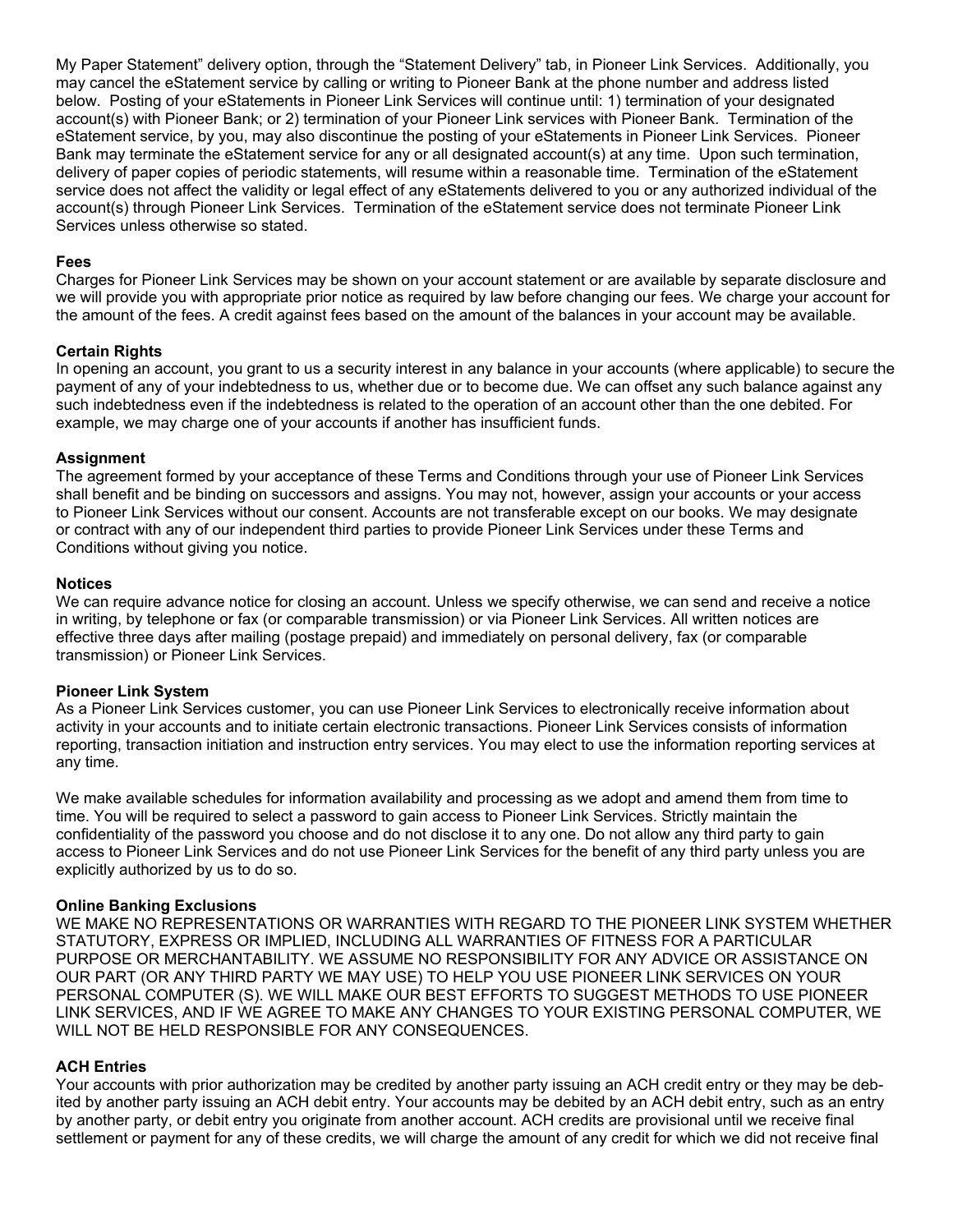My Paper Statement" delivery option, through the "Statement Delivery" tab, in Pioneer Link Services. Additionally, you may cancel the eStatement service by calling or writing to Pioneer Bank at the phone number and address listed below. Posting of your eStatements in Pioneer Link Services will continue until: 1) termination of your designated account(s) with Pioneer Bank; or 2) termination of your Pioneer Link services with Pioneer Bank. Termination of the eStatement service, by you, may also discontinue the posting of your eStatements in Pioneer Link Services. Pioneer Bank may terminate the eStatement service for any or all designated account(s) at any time. Upon such termination, delivery of paper copies of periodic statements, will resume within a reasonable time. Termination of the eStatement service does not affect the validity or legal effect of any eStatements delivered to you or any authorized individual of the account(s) through Pioneer Link Services. Termination of the eStatement service does not terminate Pioneer Link Services unless otherwise so stated.

## **Fees**

Charges for Pioneer Link Services may be shown on your account statement or are available by separate disclosure and we will provide you with appropriate prior notice as required by law before changing our fees. We charge your account for the amount of the fees. A credit against fees based on the amount of the balances in your account may be available.

# **Certain Rights**

In opening an account, you grant to us a security interest in any balance in your accounts (where applicable) to secure the payment of any of your indebtedness to us, whether due or to become due. We can offset any such balance against any such indebtedness even if the indebtedness is related to the operation of an account other than the one debited. For example, we may charge one of your accounts if another has insufficient funds.

# **Assignment**

The agreement formed by your acceptance of these Terms and Conditions through your use of Pioneer Link Services shall benefit and be binding on successors and assigns. You may not, however, assign your accounts or your access to Pioneer Link Services without our consent. Accounts are not transferable except on our books. We may designate or contract with any of our independent third parties to provide Pioneer Link Services under these Terms and Conditions without giving you notice.

## **Notices**

We can require advance notice for closing an account. Unless we specify otherwise, we can send and receive a notice in writing, by telephone or fax (or comparable transmission) or via Pioneer Link Services. All written notices are effective three days after mailing (postage prepaid) and immediately on personal delivery, fax (or comparable transmission) or Pioneer Link Services.

## **Pioneer Link System**

As a Pioneer Link Services customer, you can use Pioneer Link Services to electronically receive information about activity in your accounts and to initiate certain electronic transactions. Pioneer Link Services consists of information reporting, transaction initiation and instruction entry services. You may elect to use the information reporting services at any time.

We make available schedules for information availability and processing as we adopt and amend them from time to time. You will be required to select a password to gain access to Pioneer Link Services. Strictly maintain the confidentiality of the password you choose and do not disclose it to any one. Do not allow any third party to gain access to Pioneer Link Services and do not use Pioneer Link Services for the benefit of any third party unless you are explicitly authorized by us to do so.

## **Online Banking Exclusions**

WE MAKE NO REPRESENTATIONS OR WARRANTIES WITH REGARD TO THE PIONEER LINK SYSTEM WHETHER STATUTORY, EXPRESS OR IMPLIED, INCLUDING ALL WARRANTIES OF FITNESS FOR A PARTICULAR PURPOSE OR MERCHANTABILITY. WE ASSUME NO RESPONSIBILITY FOR ANY ADVICE OR ASSISTANCE ON OUR PART (OR ANY THIRD PARTY WE MAY USE) TO HELP YOU USE PIONEER LINK SERVICES ON YOUR PERSONAL COMPUTER (S). WE WILL MAKE OUR BEST EFFORTS TO SUGGEST METHODS TO USE PIONEER LINK SERVICES, AND IF WE AGREE TO MAKE ANY CHANGES TO YOUR EXISTING PERSONAL COMPUTER, WE WILL NOT BE HELD RESPONSIBLE FOR ANY CONSEQUENCES.

# **ACH Entries**

Your accounts with prior authorization may be credited by another party issuing an ACH credit entry or they may be debited by another party issuing an ACH debit entry. Your accounts may be debited by an ACH debit entry, such as an entry by another party, or debit entry you originate from another account. ACH credits are provisional until we receive final settlement or payment for any of these credits, we will charge the amount of any credit for which we did not receive final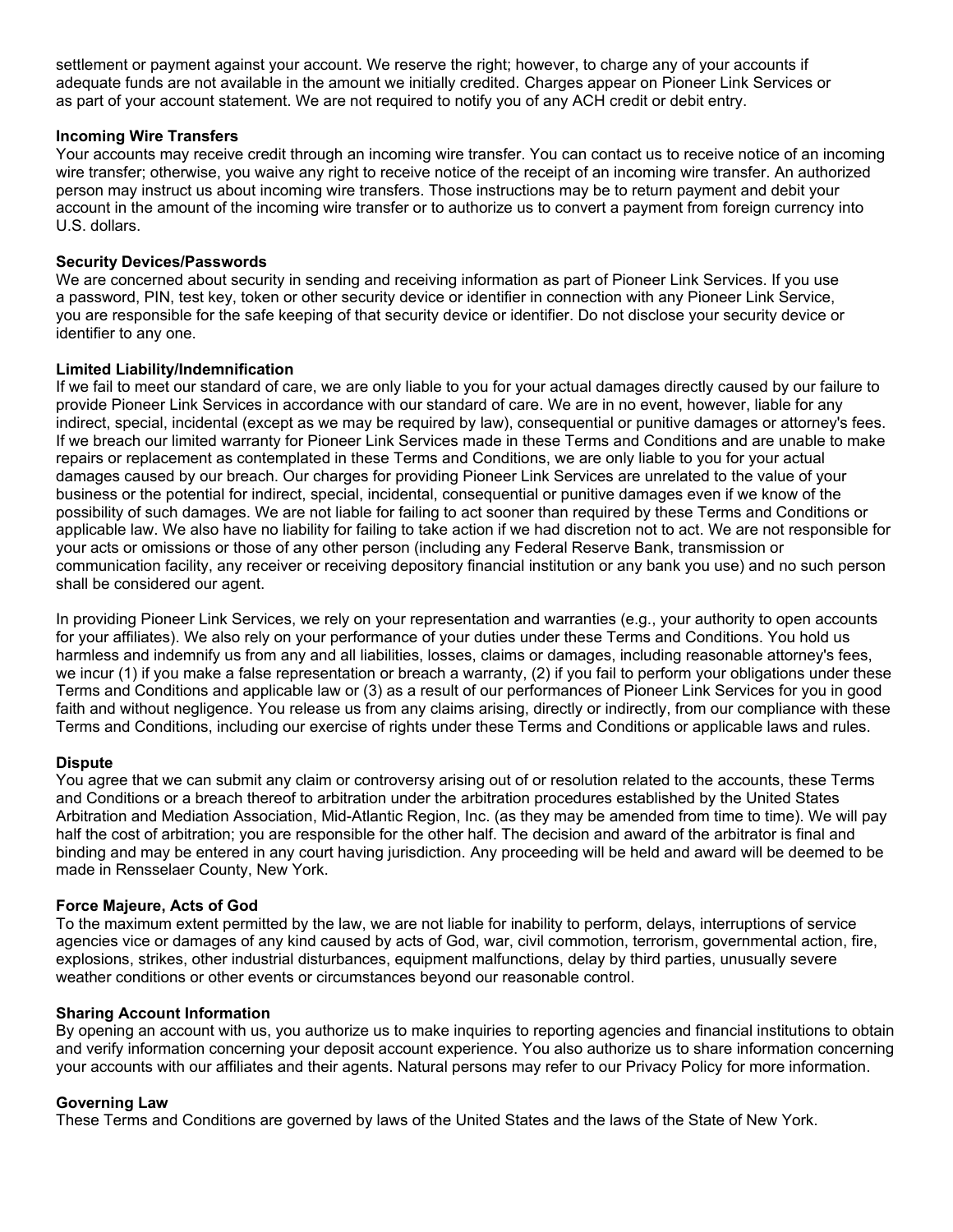settlement or payment against your account. We reserve the right; however, to charge any of your accounts if adequate funds are not available in the amount we initially credited. Charges appear on Pioneer Link Services or as part of your account statement. We are not required to notify you of any ACH credit or debit entry.

## **Incoming Wire Transfers**

Your accounts may receive credit through an incoming wire transfer. You can contact us to receive notice of an incoming wire transfer; otherwise, you waive any right to receive notice of the receipt of an incoming wire transfer. An authorized person may instruct us about incoming wire transfers. Those instructions may be to return payment and debit your account in the amount of the incoming wire transfer or to authorize us to convert a payment from foreign currency into U.S. dollars.

## **Security Devices/Passwords**

We are concerned about security in sending and receiving information as part of Pioneer Link Services. If you use a password, PIN, test key, token or other security device or identifier in connection with any Pioneer Link Service, you are responsible for the safe keeping of that security device or identifier. Do not disclose your security device or identifier to any one.

# **Limited Liability/Indemnification**

If we fail to meet our standard of care, we are only liable to you for your actual damages directly caused by our failure to provide Pioneer Link Services in accordance with our standard of care. We are in no event, however, liable for any indirect, special, incidental (except as we may be required by law), consequential or punitive damages or attorney's fees. If we breach our limited warranty for Pioneer Link Services made in these Terms and Conditions and are unable to make repairs or replacement as contemplated in these Terms and Conditions, we are only liable to you for your actual damages caused by our breach. Our charges for providing Pioneer Link Services are unrelated to the value of your business or the potential for indirect, special, incidental, consequential or punitive damages even if we know of the possibility of such damages. We are not liable for failing to act sooner than required by these Terms and Conditions or applicable law. We also have no liability for failing to take action if we had discretion not to act. We are not responsible for your acts or omissions or those of any other person (including any Federal Reserve Bank, transmission or communication facility, any receiver or receiving depository financial institution or any bank you use) and no such person shall be considered our agent.

In providing Pioneer Link Services, we rely on your representation and warranties (e.g., your authority to open accounts for your affiliates). We also rely on your performance of your duties under these Terms and Conditions. You hold us harmless and indemnify us from any and all liabilities, losses, claims or damages, including reasonable attorney's fees, we incur (1) if you make a false representation or breach a warranty, (2) if you fail to perform your obligations under these Terms and Conditions and applicable law or (3) as a result of our performances of Pioneer Link Services for you in good faith and without negligence. You release us from any claims arising, directly or indirectly, from our compliance with these Terms and Conditions, including our exercise of rights under these Terms and Conditions or applicable laws and rules.

## **Dispute**

You agree that we can submit any claim or controversy arising out of or resolution related to the accounts, these Terms and Conditions or a breach thereof to arbitration under the arbitration procedures established by the United States Arbitration and Mediation Association, Mid-Atlantic Region, Inc. (as they may be amended from time to time). We will pay half the cost of arbitration; you are responsible for the other half. The decision and award of the arbitrator is final and binding and may be entered in any court having jurisdiction. Any proceeding will be held and award will be deemed to be made in Rensselaer County, New York.

## **Force Majeure, Acts of God**

To the maximum extent permitted by the law, we are not liable for inability to perform, delays, interruptions of service agencies vice or damages of any kind caused by acts of God, war, civil commotion, terrorism, governmental action, fire, explosions, strikes, other industrial disturbances, equipment malfunctions, delay by third parties, unusually severe weather conditions or other events or circumstances beyond our reasonable control.

## **Sharing Account Information**

By opening an account with us, you authorize us to make inquiries to reporting agencies and financial institutions to obtain and verify information concerning your deposit account experience. You also authorize us to share information concerning your accounts with our affiliates and their agents. Natural persons may refer to our Privacy Policy for more information.

## **Governing Law**

These Terms and Conditions are governed by laws of the United States and the laws of the State of New York.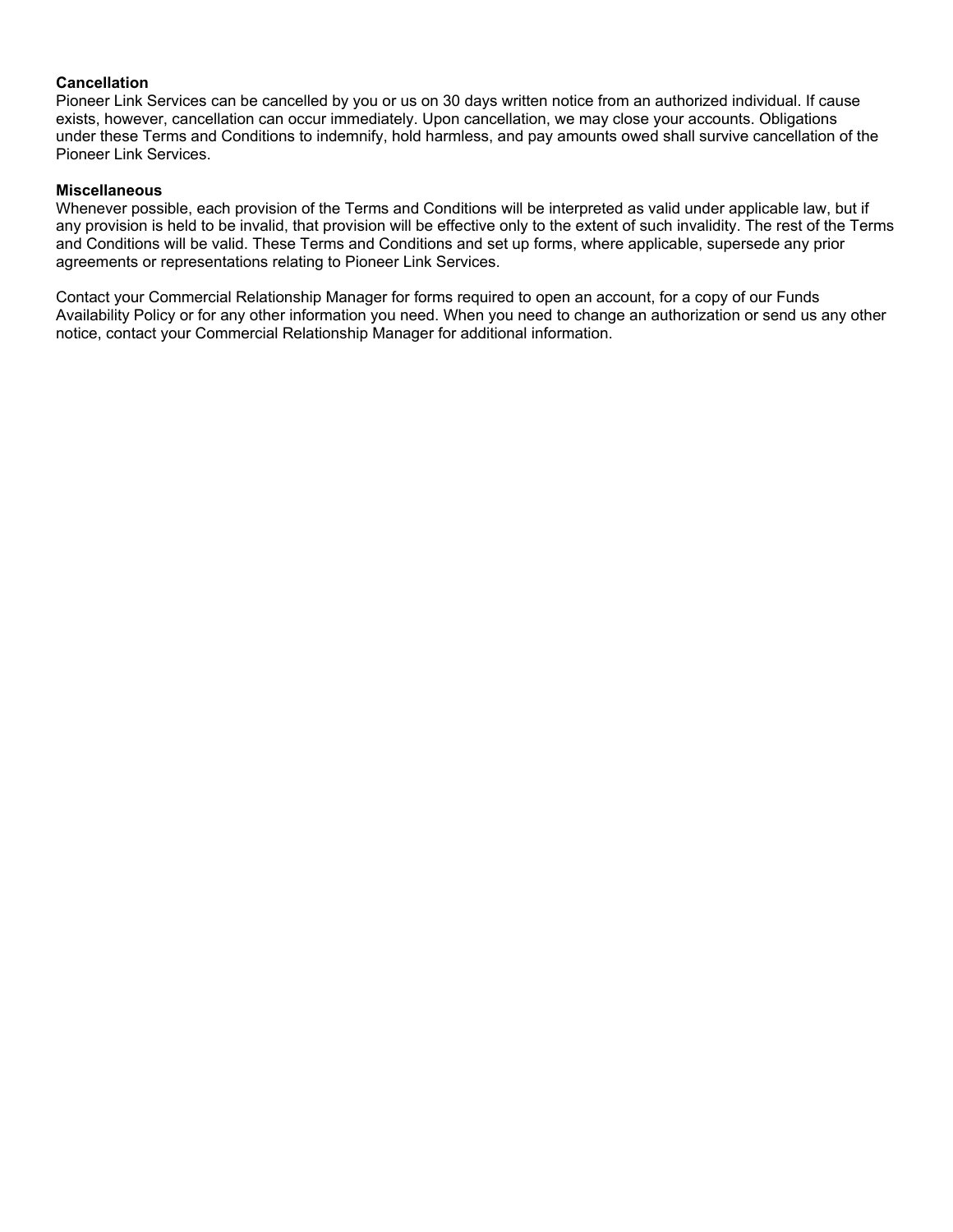## **Cancellation**

Pioneer Link Services can be cancelled by you or us on 30 days written notice from an authorized individual. If cause exists, however, cancellation can occur immediately. Upon cancellation, we may close your accounts. Obligations under these Terms and Conditions to indemnify, hold harmless, and pay amounts owed shall survive cancellation of the Pioneer Link Services.

# **Miscellaneous**

Whenever possible, each provision of the Terms and Conditions will be interpreted as valid under applicable law, but if any provision is held to be invalid, that provision will be effective only to the extent of such invalidity. The rest of the Terms and Conditions will be valid. These Terms and Conditions and set up forms, where applicable, supersede any prior agreements or representations relating to Pioneer Link Services.

Contact your Commercial Relationship Manager for forms required to open an account, for a copy of our Funds Availability Policy or for any other information you need. When you need to change an authorization or send us any other notice, contact your Commercial Relationship Manager for additional information.